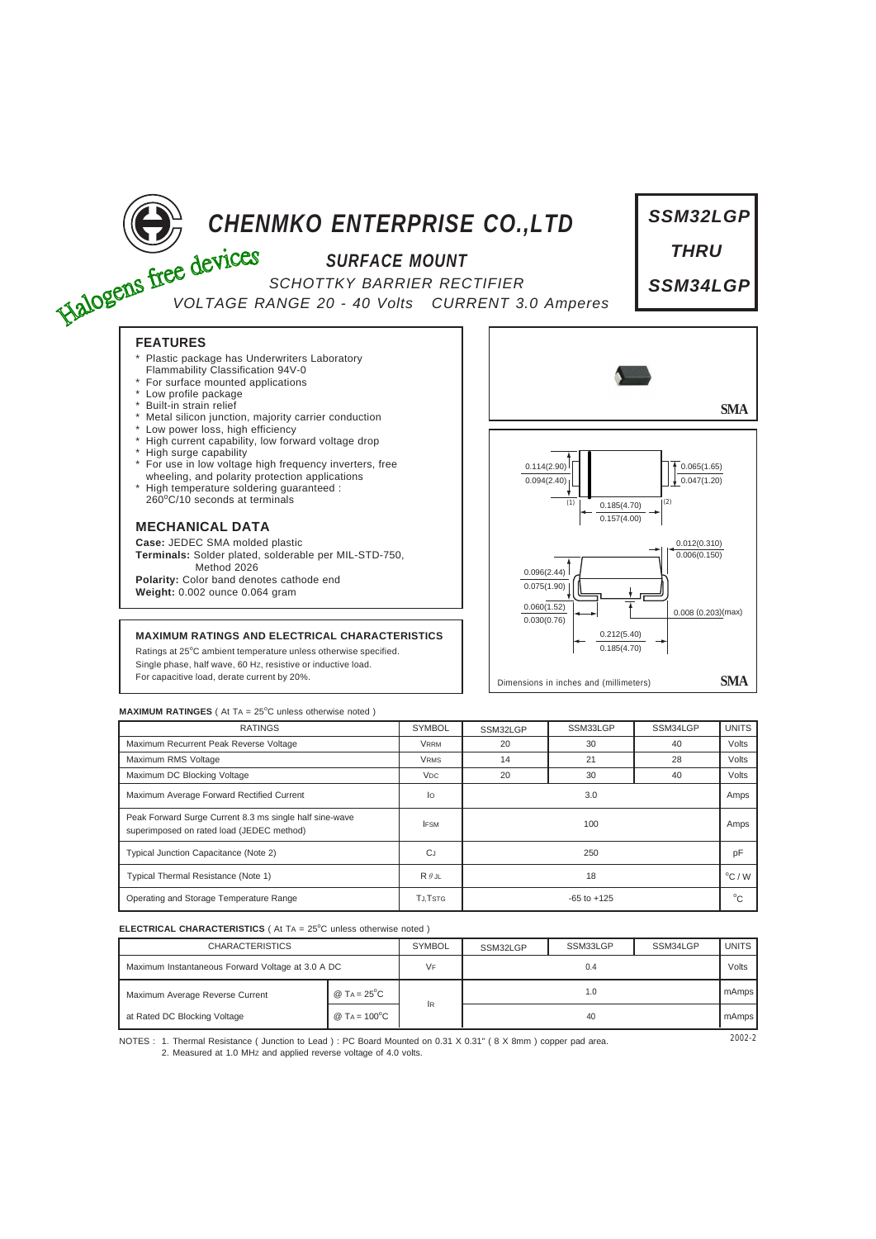

| <b>MAXIMUM RATINGES</b> (At $TA = 25^{\circ}C$ unless otherwise noted) |  |  |
|------------------------------------------------------------------------|--|--|
|------------------------------------------------------------------------|--|--|

| <b>RATINGS</b>                                                                                       | <b>SYMBOL</b>         | SSM32LGP        | SSM33LGP | SSM34LGP                 | <b>UNITS</b> |
|------------------------------------------------------------------------------------------------------|-----------------------|-----------------|----------|--------------------------|--------------|
| Maximum Recurrent Peak Reverse Voltage                                                               | <b>VRRM</b>           | 20              | 30       | 40                       | Volts        |
| Maximum RMS Voltage                                                                                  | <b>VRMS</b>           | 14              | 21       | 28                       | Volts        |
| Maximum DC Blocking Voltage                                                                          | <b>V<sub>DC</sub></b> | 20              | 30       | 40                       | Volts        |
| Maximum Average Forward Rectified Current                                                            | lo                    |                 | 3.0      |                          | Amps         |
| Peak Forward Surge Current 8.3 ms single half sine-wave<br>superimposed on rated load (JEDEC method) | <b>IFSM</b>           | 100             |          | Amps                     |              |
| Typical Junction Capacitance (Note 2)                                                                | <b>CJ</b>             | 250             |          | pF                       |              |
| Typical Thermal Resistance (Note 1)                                                                  | $R \theta$ .JL        | 18              |          | $\mathrm{^{\circ}C}$ / W |              |
| Operating and Storage Temperature Range                                                              | <b>TJ.TSTG</b>        | $-65$ to $+125$ |          | $^{\circ}$ C             |              |

## **ELECTRICAL CHARACTERISTICS** ( At TA = 25°C unless otherwise noted )

| <b>CHARACTERISTICS</b>                            |                                       | <b>SYMBOL</b> | SSM32LGP | SSM33LGP | SSM34LGP | <b>UNITS</b> |
|---------------------------------------------------|---------------------------------------|---------------|----------|----------|----------|--------------|
| Maximum Instantaneous Forward Voltage at 3.0 A DC |                                       | VF            | 0.4      |          | Volts    |              |
| Maximum Average Reverse Current                   | @ $TA = 25^{\circ}C$                  |               | 1.0      |          | mAmps    |              |
| at Rated DC Blocking Voltage                      | $@$ T <sub>A</sub> = 100 $^{\circ}$ C | <b>IR</b>     | 40       |          | mAmps    |              |

NOTES : 1. Thermal Resistance ( Junction to Lead ) : PC Board Mounted on 0.31 X 0.31" ( 8 X 8mm ) copper pad area.  $2002 - 2002 - 2002 - 2002 - 2002 - 2002 - 2002 - 2002 - 2002 - 2002 - 2002 - 2002 - 2002 - 2002 - 2002 - 2002 - 2002 - 2002$ 2. Measured at 1.0 MHz and applied reverse voltage of 4.0 volts.